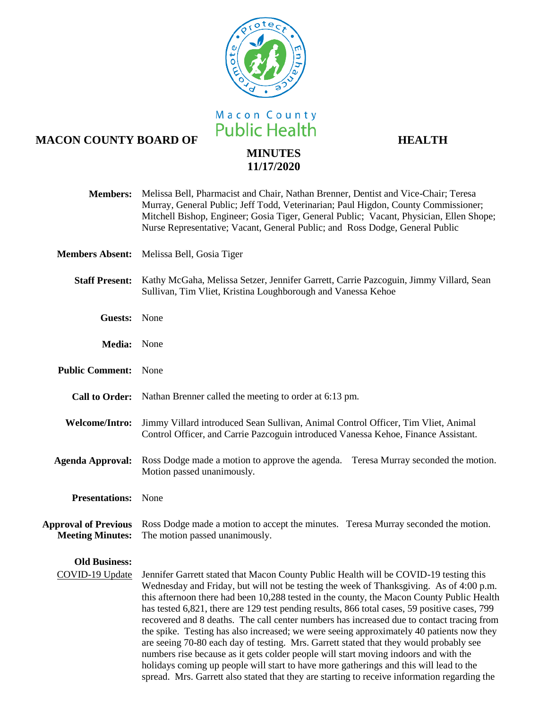

Macon County<br>
Macon County<br> **Macon County**<br> **Macon County**<br> **HEALTH** 

## **MINUTES 11/17/2020**

| <b>Members:</b>                                        | Melissa Bell, Pharmacist and Chair, Nathan Brenner, Dentist and Vice-Chair; Teresa<br>Murray, General Public; Jeff Todd, Veterinarian; Paul Higdon, County Commissioner;<br>Mitchell Bishop, Engineer; Gosia Tiger, General Public; Vacant, Physician, Ellen Shope;<br>Nurse Representative; Vacant, General Public; and Ross Dodge, General Public                                                                                                                                                                                                                                                                                                                                                                                                                                                                                                                                                                                                 |
|--------------------------------------------------------|-----------------------------------------------------------------------------------------------------------------------------------------------------------------------------------------------------------------------------------------------------------------------------------------------------------------------------------------------------------------------------------------------------------------------------------------------------------------------------------------------------------------------------------------------------------------------------------------------------------------------------------------------------------------------------------------------------------------------------------------------------------------------------------------------------------------------------------------------------------------------------------------------------------------------------------------------------|
| <b>Members Absent:</b>                                 | Melissa Bell, Gosia Tiger                                                                                                                                                                                                                                                                                                                                                                                                                                                                                                                                                                                                                                                                                                                                                                                                                                                                                                                           |
|                                                        | Staff Present: Kathy McGaha, Melissa Setzer, Jennifer Garrett, Carrie Pazcoguin, Jimmy Villard, Sean<br>Sullivan, Tim Vliet, Kristina Loughborough and Vanessa Kehoe                                                                                                                                                                                                                                                                                                                                                                                                                                                                                                                                                                                                                                                                                                                                                                                |
| Guests: None                                           |                                                                                                                                                                                                                                                                                                                                                                                                                                                                                                                                                                                                                                                                                                                                                                                                                                                                                                                                                     |
| Media: None                                            |                                                                                                                                                                                                                                                                                                                                                                                                                                                                                                                                                                                                                                                                                                                                                                                                                                                                                                                                                     |
| <b>Public Comment:</b> None                            |                                                                                                                                                                                                                                                                                                                                                                                                                                                                                                                                                                                                                                                                                                                                                                                                                                                                                                                                                     |
|                                                        | Call to Order: Nathan Brenner called the meeting to order at 6:13 pm.                                                                                                                                                                                                                                                                                                                                                                                                                                                                                                                                                                                                                                                                                                                                                                                                                                                                               |
| <b>Welcome/Intro:</b>                                  | Jimmy Villard introduced Sean Sullivan, Animal Control Officer, Tim Vliet, Animal<br>Control Officer, and Carrie Pazcoguin introduced Vanessa Kehoe, Finance Assistant.                                                                                                                                                                                                                                                                                                                                                                                                                                                                                                                                                                                                                                                                                                                                                                             |
| <b>Agenda Approval:</b>                                | Ross Dodge made a motion to approve the agenda. Teresa Murray seconded the motion.<br>Motion passed unanimously.                                                                                                                                                                                                                                                                                                                                                                                                                                                                                                                                                                                                                                                                                                                                                                                                                                    |
| <b>Presentations:</b> None                             |                                                                                                                                                                                                                                                                                                                                                                                                                                                                                                                                                                                                                                                                                                                                                                                                                                                                                                                                                     |
| <b>Approval of Previous</b><br><b>Meeting Minutes:</b> | Ross Dodge made a motion to accept the minutes. Teresa Murray seconded the motion.<br>The motion passed unanimously.                                                                                                                                                                                                                                                                                                                                                                                                                                                                                                                                                                                                                                                                                                                                                                                                                                |
| <b>Old Business:</b>                                   |                                                                                                                                                                                                                                                                                                                                                                                                                                                                                                                                                                                                                                                                                                                                                                                                                                                                                                                                                     |
| COVID-19 Update                                        | Jennifer Garrett stated that Macon County Public Health will be COVID-19 testing this<br>Wednesday and Friday, but will not be testing the week of Thanksgiving. As of 4:00 p.m.<br>this afternoon there had been 10,288 tested in the county, the Macon County Public Health<br>has tested 6,821, there are 129 test pending results, 866 total cases, 59 positive cases, 799<br>recovered and 8 deaths. The call center numbers has increased due to contact tracing from<br>the spike. Testing has also increased; we were seeing approximately 40 patients now they<br>are seeing 70-80 each day of testing. Mrs. Garrett stated that they would probably see<br>numbers rise because as it gets colder people will start moving indoors and with the<br>holidays coming up people will start to have more gatherings and this will lead to the<br>spread. Mrs. Garrett also stated that they are starting to receive information regarding the |